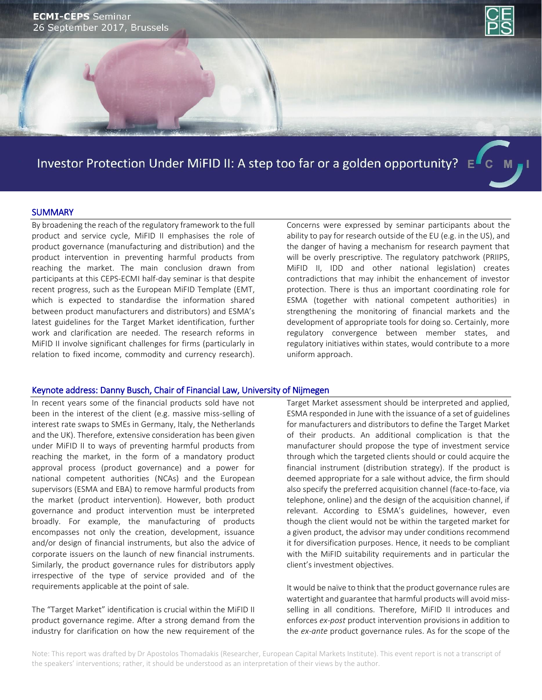

# Investor Protection Under MiFID II: A step too far or a golden opportunity?  $E^{\prime\prime}$  C M

#### **SUMMARY**

By broadening the reach of the regulatory framework to the full product and service cycle, MiFID II emphasises the role of product governance (manufacturing and distribution) and the product intervention in preventing harmful products from reaching the market. The main conclusion drawn from participants at this CEPS-ECMI half-day seminar is that despite recent progress, such as the European MiFID Template (EMT, which is expected to standardise the information shared between product manufacturers and distributors) and ESMA's latest guidelines for the Target Market identification, further work and clarification are needed. The research reforms in MiFID II involve significant challenges for firms (particularly in relation to fixed income, commodity and currency research). Concerns were expressed by seminar participants about the ability to pay for research outside of the EU (e.g. in the US), and the danger of having a mechanism for research payment that will be overly prescriptive. The regulatory patchwork (PRIIPS, MiFID II, IDD and other national legislation) creates contradictions that may inhibit the enhancement of investor protection. There is thus an important coordinating role for ESMA (together with national competent authorities) in strengthening the monitoring of financial markets and the development of appropriate tools for doing so. Certainly, more regulatory convergence between member states, and regulatory initiatives within states, would contribute to a more uniform approach.

## Keynote address: Danny Busch, Chair of Financial Law, University of Nijmegen

In recent years some of the financial products sold have not been in the interest of the client (e.g. massive miss-selling of interest rate swaps to SMEs in Germany, Italy, the Netherlands and the UK). Therefore, extensive consideration has been given under MiFID II to ways of preventing harmful products from reaching the market, in the form of a mandatory product approval process (product governance) and a power for national competent authorities (NCAs) and the European supervisors (ESMA and EBA) to remove harmful products from the market (product intervention). However, both product governance and product intervention must be interpreted broadly. For example, the manufacturing of products encompasses not only the creation, development, issuance and/or design of financial instruments, but also the advice of corporate issuers on the launch of new financial instruments. Similarly, the product governance rules for distributors apply irrespective of the type of service provided and of the requirements applicable at the point of sale.

The "Target Market" identification is crucial within the MiFID II product governance regime. After a strong demand from the industry for clarification on how the new requirement of the Target Market assessment should be interpreted and applied, ESMA responded in June with the issuance of a set of guidelines for manufacturers and distributors to define the Target Market of their products. An additional complication is that the manufacturer should propose the type of investment service through which the targeted clients should or could acquire the financial instrument (distribution strategy). If the product is deemed appropriate for a sale without advice, the firm should also specify the preferred acquisition channel (face-to-face, via telephone, online) and the design of the acquisition channel, if relevant. According to ESMA's guidelines, however, even though the client would not be within the targeted market for a given product, the advisor may under conditions recommend it for diversification purposes. Hence, it needs to be compliant with the MiFID suitability requirements and in particular the client's investment objectives.

It would be naïve to think that the product governance rules are watertight and guarantee that harmful products will avoid missselling in all conditions. Therefore, MiFID II introduces and enforces *ex-post* product intervention provisions in addition to the *ex-ante* product governance rules. As for the scope of the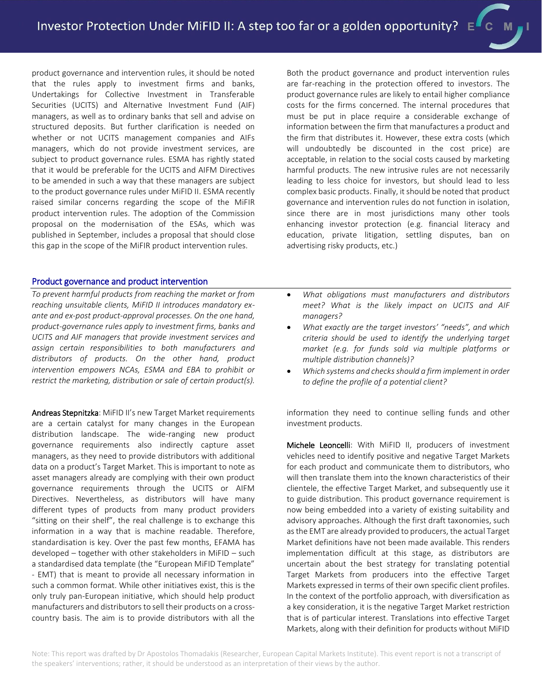product governance and intervention rules, it should be noted that the rules apply to investment firms and banks, Undertakings for Collective Investment in Transferable Securities (UCITS) and Alternative Investment Fund (AIF) managers, as well as to ordinary banks that sell and advise on structured deposits. But further clarification is needed on whether or not UCITS management companies and AIFs managers, which do not provide investment services, are subject to product governance rules. ESMA has rightly stated that it would be preferable for the UCITS and AIFM Directives to be amended in such a way that these managers are subject to the product governance rules under MiFID II. ESMA recently raised similar concerns regarding the scope of the MiFIR product intervention rules. The adoption of the Commission proposal on the modernisation of the ESAs, which was published in September, includes a proposal that should close this gap in the scope of the MiFIR product intervention rules.

Both the product governance and product intervention rules are far-reaching in the protection offered to investors. The product governance rules are likely to entail higher compliance costs for the firms concerned. The internal procedures that must be put in place require a considerable exchange of information between the firm that manufactures a product and the firm that distributes it. However, these extra costs (which will undoubtedly be discounted in the cost price) are acceptable, in relation to the social costs caused by marketing harmful products. The new intrusive rules are not necessarily leading to less choice for investors, but should lead to less complex basic products. Finally, it should be noted that product governance and intervention rules do not function in isolation, since there are in most jurisdictions many other tools enhancing investor protection (e.g. financial literacy and education, private litigation, settling disputes, ban on advertising risky products, etc.)

### Product governance and product intervention

*To prevent harmful products from reaching the market or from reaching unsuitable clients, MiFID II introduces mandatory exante and ex-post product-approval processes. On the one hand, product-governance rules apply to investment firms, banks and UCITS and AIF managers that provide investment services and assign certain responsibilities to both manufacturers and distributors of products. On the other hand, product intervention empowers NCAs, ESMA and EBA to prohibit or restrict the marketing, distribution or sale of certain product(s).*

Andreas Stepnitzka: MiFID II's new Target Market requirements are a certain catalyst for many changes in the European distribution landscape. The wide-ranging new product governance requirements also indirectly capture asset managers, as they need to provide distributors with additional data on a product's Target Market. This is important to note as asset managers already are complying with their own product governance requirements through the UCITS or AIFM Directives. Nevertheless, as distributors will have many different types of products from many product providers "sitting on their shelf", the real challenge is to exchange this information in a way that is machine readable. Therefore, standardisation is key. Over the past few months, EFAMA has developed – together with other stakeholders in MiFID – such a standardised data template (the "European MiFID Template" - EMT) that is meant to provide all necessary information in such a common format. While other initiatives exist, this is the only truly pan-European initiative, which should help product manufacturers and distributors to sell their products on a crosscountry basis. The aim is to provide distributors with all the

- *What obligations must manufacturers and distributors meet? What is the likely impact on UCITS and AIF managers?*
- *What exactly are the target investors' "needs", and which criteria should be used to identify the underlying target market (e.g. for funds sold via multiple platforms or multiple distribution channels)?*
- *Which systems and checks should a firm implement in order to define the profile of a potential client?*

information they need to continue selling funds and other investment products.

Michele Leoncelli: With MiFID II, producers of investment vehicles need to identify positive and negative Target Markets for each product and communicate them to distributors, who will then translate them into the known characteristics of their clientele, the effective Target Market, and subsequently use it to guide distribution. This product governance requirement is now being embedded into a variety of existing suitability and advisory approaches. Although the first draft taxonomies, such as the EMT are already provided to producers, the actual Target Market definitions have not been made available. This renders implementation difficult at this stage, as distributors are uncertain about the best strategy for translating potential Target Markets from producers into the effective Target Markets expressed in terms of their own specific client profiles. In the context of the portfolio approach, with diversification as a key consideration, it is the negative Target Market restriction that is of particular interest. Translations into effective Target Markets, along with their definition for products without MiFID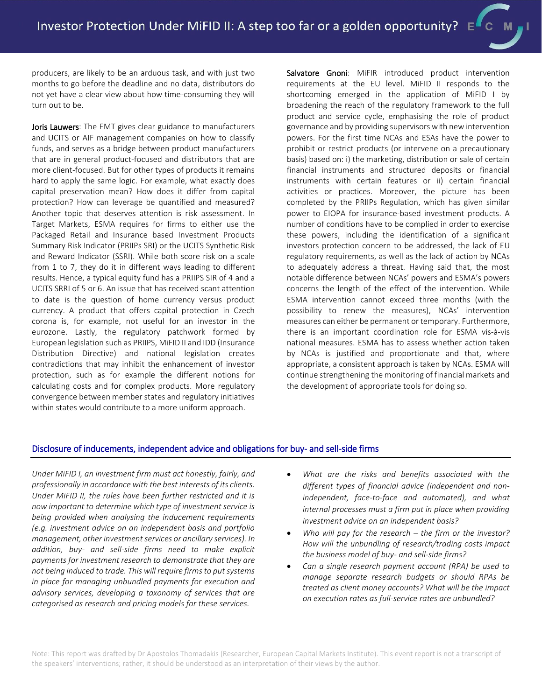producers, are likely to be an arduous task, and with just two months to go before the deadline and no data, distributors do not yet have a clear view about how time-consuming they will turn out to be.

Joris Lauwers: The EMT gives clear guidance to manufacturers and UCITS or AIF management companies on how to classify funds, and serves as a bridge between product manufacturers that are in general product-focused and distributors that are more client-focused. But for other types of products it remains hard to apply the same logic. For example, what exactly does capital preservation mean? How does it differ from capital protection? How can leverage be quantified and measured? Another topic that deserves attention is risk assessment. In Target Markets, ESMA requires for firms to either use the Packaged Retail and Insurance based Investment Products Summary Risk Indicator (PRIIPs SRI) or the UCITS Synthetic Risk and Reward Indicator (SSRI). While both score risk on a scale from 1 to 7, they do it in different ways leading to different results. Hence, a typical equity fund has a PRIIPS SIR of 4 and a UCITS SRRI of 5 or 6. An issue that has received scant attention to date is the question of home currency versus product currency. A product that offers capital protection in Czech corona is, for example, not useful for an investor in the eurozone. Lastly, the regulatory patchwork formed by European legislation such as PRIIPS, MiFID II and IDD (Insurance Distribution Directive) and national legislation creates contradictions that may inhibit the enhancement of investor protection, such as for example the different notions for calculating costs and for complex products. More regulatory convergence between member states and regulatory initiatives within states would contribute to a more uniform approach.

Salvatore Gnoni: MiFIR introduced product intervention requirements at the EU level. MiFID II responds to the shortcoming emerged in the application of MiFID I by broadening the reach of the regulatory framework to the full product and service cycle, emphasising the role of product governance and by providing supervisors with new intervention powers. For the first time NCAs and ESAs have the power to prohibit or restrict products (or intervene on a precautionary basis) based on: i) the marketing, distribution or sale of certain financial instruments and structured deposits or financial instruments with certain features or ii) certain financial activities or practices. Moreover, the picture has been completed by the PRIIPs Regulation, which has given similar power to EIOPA for insurance-based investment products. A number of conditions have to be complied in order to exercise these powers, including the identification of a significant investors protection concern to be addressed, the lack of EU regulatory requirements, as well as the lack of action by NCAs to adequately address a threat. Having said that, the most notable difference between NCAs' powers and ESMA's powers concerns the length of the effect of the intervention. While ESMA intervention cannot exceed three months (with the possibility to renew the measures), NCAs' intervention measures can either be permanent or temporary. Furthermore, there is an important coordination role for ESMA vis-à-vis national measures. ESMA has to assess whether action taken by NCAs is justified and proportionate and that, where appropriate, a consistent approach is taken by NCAs. ESMA will continue strengthening the monitoring of financial markets and the development of appropriate tools for doing so.

## Disclosure of inducements, independent advice and obligations for buy- and sell-side firms

*Under MiFID I, an investment firm must act honestly, fairly, and professionally in accordance with the best interests of its clients. Under MiFID II, the rules have been further restricted and it is now important to determine which type of investment service is being provided when analysing the inducement requirements (e.g. investment advice on an independent basis and portfolio management, other investment services or ancillary services). In addition, buy- and sell-side firms need to make explicit payments for investment research to demonstrate that they are not being induced to trade. This will require firms to put systems in place for managing unbundled payments for execution and advisory services, developing a taxonomy of services that are categorised as research and pricing models for these services.* 

- *What are the risks and benefits associated with the different types of financial advice (independent and nonindependent, face-to-face and automated), and what internal processes must a firm put in place when providing investment advice on an independent basis?*
- *Who will pay for the research – the firm or the investor? How will the unbundling of research/trading costs impact the business model of buy- and sell-side firms?*
- *Can a single research payment account (RPA) be used to manage separate research budgets or should RPAs be treated as client money accounts? What will be the impact on execution rates as full-service rates are unbundled?*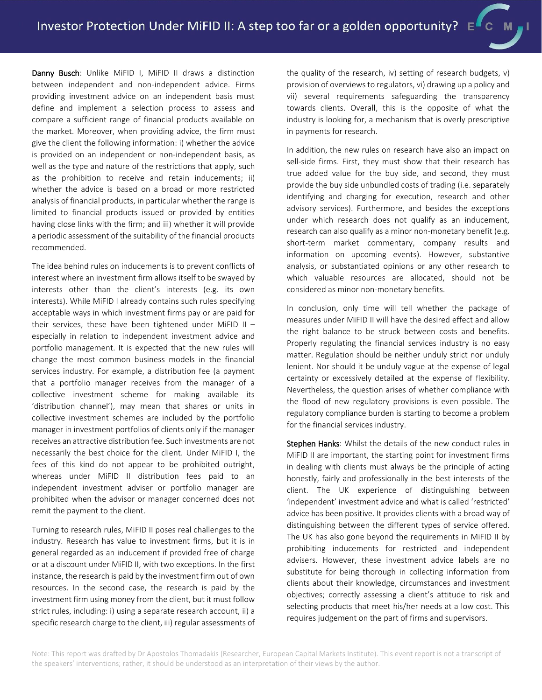Danny Busch: Unlike MiFID I, MiFID II draws a distinction between independent and non-independent advice. Firms providing investment advice on an independent basis must define and implement a selection process to assess and compare a sufficient range of financial products available on the market. Moreover, when providing advice, the firm must give the client the following information: i) whether the advice is provided on an independent or non-independent basis, as well as the type and nature of the restrictions that apply, such as the prohibition to receive and retain inducements; ii) whether the advice is based on a broad or more restricted analysis of financial products, in particular whether the range is limited to financial products issued or provided by entities having close links with the firm; and iii) whether it will provide a periodic assessment of the suitability of the financial products recommended.

The idea behind rules on inducements is to prevent conflicts of interest where an investment firm allows itself to be swayed by interests other than the client's interests (e.g. its own interests). While MiFID I already contains such rules specifying acceptable ways in which investment firms pay or are paid for their services, these have been tightened under MiFID II  $$ especially in relation to independent investment advice and portfolio management. It is expected that the new rules will change the most common business models in the financial services industry. For example, a distribution fee (a payment that a portfolio manager receives from the manager of a collective investment scheme for making available its 'distribution channel'), may mean that shares or units in collective investment schemes are included by the portfolio manager in investment portfolios of clients only if the manager receives an attractive distribution fee. Such investments are not necessarily the best choice for the client. Under MiFID I, the fees of this kind do not appear to be prohibited outright, whereas under MiFID II distribution fees paid to an independent investment adviser or portfolio manager are prohibited when the advisor or manager concerned does not remit the payment to the client.

Turning to research rules, MiFID II poses real challenges to the industry. Research has value to investment firms, but it is in general regarded as an inducement if provided free of charge or at a discount under MiFID II, with two exceptions. In the first instance, the research is paid by the investment firm out of own resources. In the second case, the research is paid by the investment firm using money from the client, but it must follow strict rules, including: i) using a separate research account, ii) a specific research charge to the client, iii) regular assessments of the quality of the research, iv) setting of research budgets, v) provision of overviews to regulators, vi) drawing up a policy and vii) several requirements safeguarding the transparency towards clients. Overall, this is the opposite of what the industry is looking for, a mechanism that is overly prescriptive in payments for research.

In addition, the new rules on research have also an impact on sell-side firms. First, they must show that their research has true added value for the buy side, and second, they must provide the buy side unbundled costs of trading (i.e. separately identifying and charging for execution, research and other advisory services). Furthermore, and besides the exceptions under which research does not qualify as an inducement, research can also qualify as a minor non-monetary benefit (e.g. short-term market commentary, company results and information on upcoming events). However, substantive analysis, or substantiated opinions or any other research to which valuable resources are allocated, should not be considered as minor non-monetary benefits.

In conclusion, only time will tell whether the package of measures under MiFID II will have the desired effect and allow the right balance to be struck between costs and benefits. Properly regulating the financial services industry is no easy matter. Regulation should be neither unduly strict nor unduly lenient. Nor should it be unduly vague at the expense of legal certainty or excessively detailed at the expense of flexibility. Nevertheless, the question arises of whether compliance with the flood of new regulatory provisions is even possible. The regulatory compliance burden is starting to become a problem for the financial services industry.

Stephen Hanks: Whilst the details of the new conduct rules in MiFID II are important, the starting point for investment firms in dealing with clients must always be the principle of acting honestly, fairly and professionally in the best interests of the client. The UK experience of distinguishing between 'independent' investment advice and what is called 'restricted' advice has been positive. It provides clients with a broad way of distinguishing between the different types of service offered. The UK has also gone beyond the requirements in MiFID II by prohibiting inducements for restricted and independent advisers. However, these investment advice labels are no substitute for being thorough in collecting information from clients about their knowledge, circumstances and investment objectives; correctly assessing a client's attitude to risk and selecting products that meet his/her needs at a low cost. This requires judgement on the part of firms and supervisors.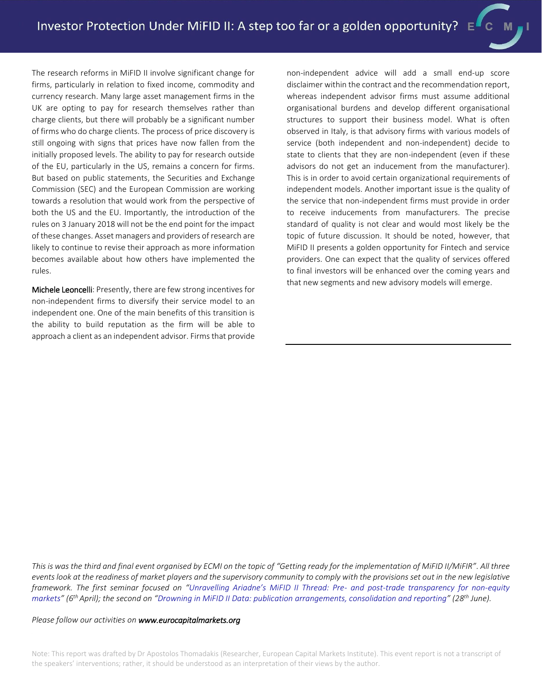The research reforms in MiFID II involve significant change for firms, particularly in relation to fixed income, commodity and currency research. Many large asset management firms in the UK are opting to pay for research themselves rather than charge clients, but there will probably be a significant number of firms who do charge clients. The process of price discovery is still ongoing with signs that prices have now fallen from the initially proposed levels. The ability to pay for research outside of the EU, particularly in the US, remains a concern for firms. But based on public statements, the Securities and Exchange Commission (SEC) and the European Commission are working towards a resolution that would work from the perspective of both the US and the EU. Importantly, the introduction of the rules on 3 January 2018 will not be the end point for the impact of these changes. Asset managers and providers of research are likely to continue to revise their approach as more information becomes available about how others have implemented the rules.

Michele Leoncelli: Presently, there are few strong incentives for non-independent firms to diversify their service model to an independent one. One of the main benefits of this transition is the ability to build reputation as the firm will be able to approach a client as an independent advisor. Firms that provide non-independent advice will add a small end-up score disclaimer within the contract and the recommendation report, whereas independent advisor firms must assume additional organisational burdens and develop different organisational structures to support their business model. What is often observed in Italy, is that advisory firms with various models of service (both independent and non-independent) decide to state to clients that they are non-independent (even if these advisors do not get an inducement from the manufacturer). This is in order to avoid certain organizational requirements of independent models. Another important issue is the quality of the service that non-independent firms must provide in order to receive inducements from manufacturers. The precise standard of quality is not clear and would most likely be the topic of future discussion. It should be noted, however, that MiFID II presents a golden opportunity for Fintech and service providers. One can expect that the quality of services offered to final investors will be enhanced over the coming years and that new segments and new advisory models will emerge.

*This is was the third and final event organised by ECMI on the topic of "Getting ready for the implementation of MiFID II/MiFIR". All three events look at the readiness of market players and the supervisory community to comply with the provisions set out in the new legislative framework. The first seminar focused on "Unravelling Ariadne's MiFID II Thread: Pre- [and post-trade transparency for non-equity](http://www.eurocapitalmarkets.org/events/half-day-conferences/unravelling-ariadnes-mifid-ii-thread-pre-and-post-trade-transparency-non)  [markets](http://www.eurocapitalmarkets.org/events/half-day-conferences/unravelling-ariadnes-mifid-ii-thread-pre-and-post-trade-transparency-non)" (6th April); the second on "[Drowning in MiFID II Data: publication arrangements, consolidation and reporting](http://www.eurocapitalmarkets.org/events/lunchtime-events/drowning-mifid-ii-data-publication-arrangements-consolidation-and-reporting)" (28th June).* 

*Please follow our activities o[n www.eurocapitalmarkets.org](http://www.eurocapitalmarkets.org/)*